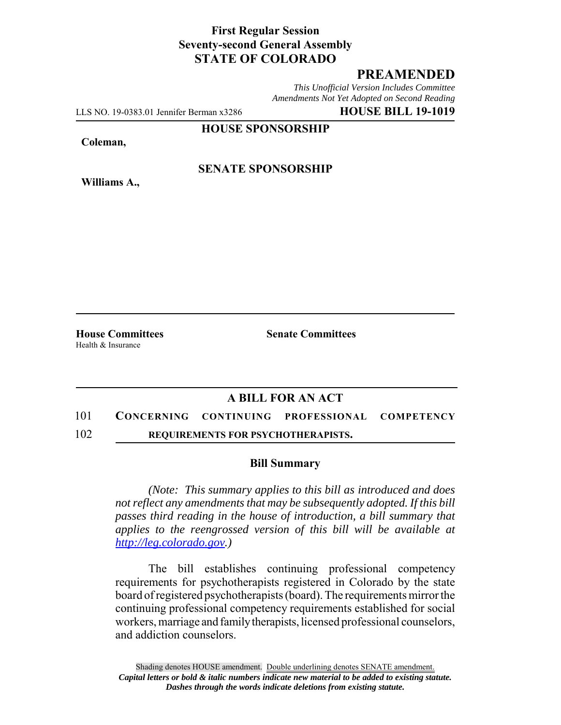### **First Regular Session Seventy-second General Assembly STATE OF COLORADO**

# **PREAMENDED**

*This Unofficial Version Includes Committee Amendments Not Yet Adopted on Second Reading*

LLS NO. 19-0383.01 Jennifer Berman x3286 **HOUSE BILL 19-1019**

**HOUSE SPONSORSHIP**

**Coleman,**

**Williams A.,**

**SENATE SPONSORSHIP**

Health & Insurance

**House Committees Senate Committees** 

## **A BILL FOR AN ACT**

#### 101 **CONCERNING CONTINUING PROFESSIONAL COMPETENCY**

102 **REQUIREMENTS FOR PSYCHOTHERAPISTS.**

#### **Bill Summary**

*(Note: This summary applies to this bill as introduced and does not reflect any amendments that may be subsequently adopted. If this bill passes third reading in the house of introduction, a bill summary that applies to the reengrossed version of this bill will be available at http://leg.colorado.gov.)*

The bill establishes continuing professional competency requirements for psychotherapists registered in Colorado by the state board of registered psychotherapists (board). The requirements mirror the continuing professional competency requirements established for social workers, marriage and family therapists, licensed professional counselors, and addiction counselors.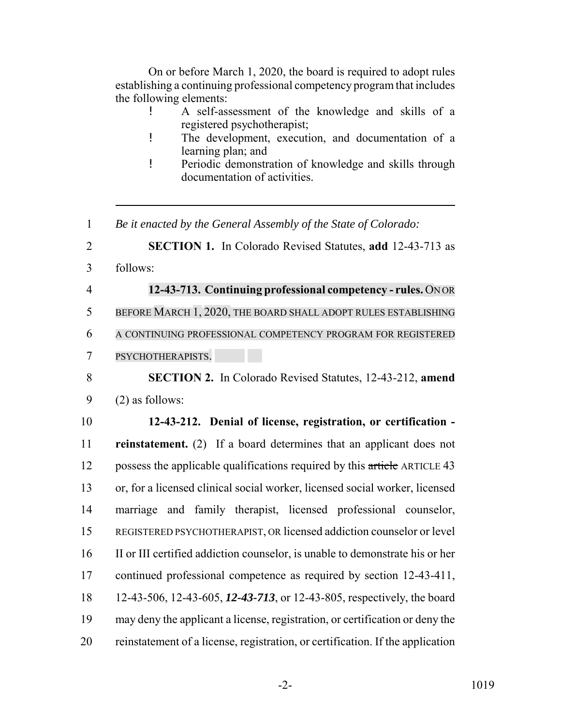On or before March 1, 2020, the board is required to adopt rules establishing a continuing professional competency program that includes the following elements:

- ! A self-assessment of the knowledge and skills of a registered psychotherapist;
- ! The development, execution, and documentation of a learning plan; and
- ! Periodic demonstration of knowledge and skills through documentation of activities.
- *Be it enacted by the General Assembly of the State of Colorado:*

**SECTION 1.** In Colorado Revised Statutes, **add** 12-43-713 as

- follows:
- **12-43-713. Continuing professional competency rules.** ON OR

BEFORE MARCH 1, 2020, THE BOARD SHALL ADOPT RULES ESTABLISHING

A CONTINUING PROFESSIONAL COMPETENCY PROGRAM FOR REGISTERED

PSYCHOTHERAPISTS.

 **SECTION 2.** In Colorado Revised Statutes, 12-43-212, **amend** (2) as follows:

 **12-43-212. Denial of license, registration, or certification - reinstatement.** (2) If a board determines that an applicant does not 12 possess the applicable qualifications required by this article ARTICLE 43 or, for a licensed clinical social worker, licensed social worker, licensed marriage and family therapist, licensed professional counselor, REGISTERED PSYCHOTHERAPIST, OR licensed addiction counselor or level II or III certified addiction counselor, is unable to demonstrate his or her continued professional competence as required by section 12-43-411, 12-43-506, 12-43-605, *12-43-713*, or 12-43-805, respectively, the board may deny the applicant a license, registration, or certification or deny the reinstatement of a license, registration, or certification. If the application